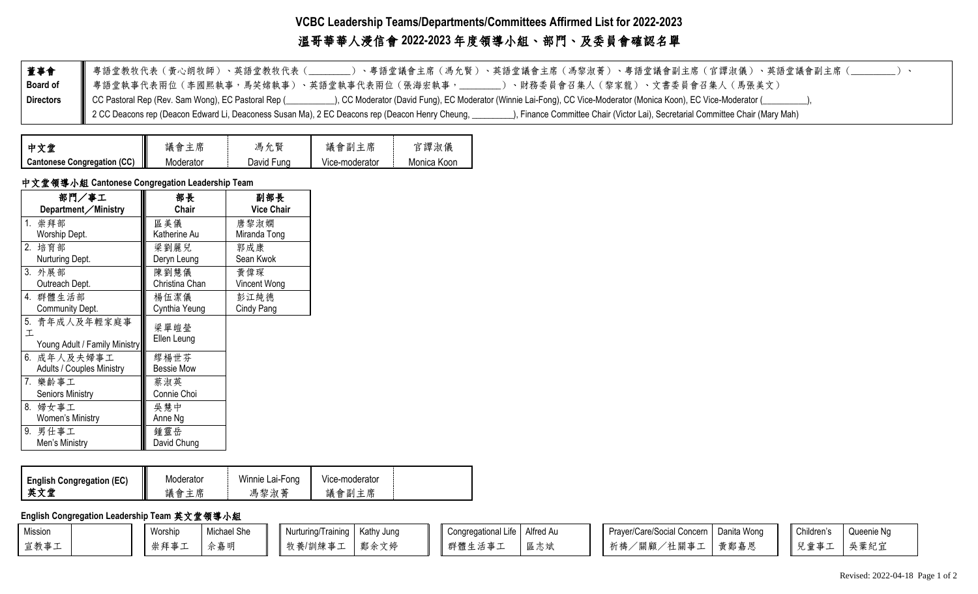# **VCBC Leadership Teams/Departments/Committees Affirmed List for 2022-2023**  溫哥華華人浸信會 **2022-2023** 年度領導小組、部門、及委員會確認名單

| 董事會              | 粤語堂教牧代表(黄心朗牧師)、英語堂教牧代表(____)、粤語堂議會主席(馮允賢)、英語堂議會主席(馮黎淑菁)、粤語堂議會副主席(官譚淑儀)、英語堂議會副主席(_                                                                                                        |
|------------------|------------------------------------------------------------------------------------------------------------------------------------------------------------------------------------------|
| <b>Board of</b>  | ▌ 粤語堂執事代表兩位(李國熙執事,馬笑嫦執事)、英語堂執事代表兩位(張海宏執事,_____)、財務委員會召集人(黎家龍)、文書委員會召集人(馬張美文)                                                                                                             |
| <b>Directors</b> |                                                                                                                                                                                          |
|                  | 2 CC Deacons rep (Deacon Edward Li, Deaconess Susan Ma), 2 EC Deacons rep (Deacon Henry Cheung, _________), Finance Committee Chair (Victor Lai), Secretarial Committee Chair (Mary Mah) |

| 中文堂                         | 議會.<br>主席      | 賢<br>馮<br>允 | 議會副主席          | 官譚淑儀        |
|-----------------------------|----------------|-------------|----------------|-------------|
| Cantonese Congregation (CC) | I<br>Moderator | David Fung  | Vice-moderator | Monica Koon |

## 中文堂領導小組 **Cantonese Congregation Leadership Team**

| 部門/事工                            | 部長                | 副部長               |
|----------------------------------|-------------------|-------------------|
| Department/Ministry              | Chair             | <b>Vice Chair</b> |
| 1. 崇拜部                           | 區美儀               | 唐黎淑嫻              |
| Worship Dept.                    | Katherine Au      | Miranda Tong      |
| 2. 培育部                           | 梁劉麗兒              | 郭成康               |
| Nurturing Dept.                  | Deryn Leung       | Sean Kwok         |
| 3. 外展部                           | 陳劉慧儀              | 黄偉琛               |
| Outreach Dept.                   | Christina Chan    | Vincent Wong      |
| 4. 群體生活部                         | 楊伍潔儀              | 彭江純德              |
| Community Dept.                  | Cynthia Yeung     | Cindy Pang        |
| 5.<br>青年成人及年輕家庭事                 | 梁單皚瑩              |                   |
| 工                                | Ellen Leung       |                   |
| Young Adult / Family Ministry    |                   |                   |
| 6. 成年人及夫婦事工                      | 繆楊世芬              |                   |
| <b>Adults / Couples Ministry</b> | <b>Bessie Mow</b> |                   |
| 7. 樂齡事工                          | 蔡淑英               |                   |
| <b>Seniors Ministry</b>          | Connie Choi       |                   |
| 8. 婦女事工                          | 吳慧中               |                   |
| Women's Ministry                 | Anne Ng           |                   |
| 9. 男仕事工                          | 鍾靈岳               |                   |
| Men's Ministry                   | David Chung       |                   |

| <b>English Congregation (EC)</b> | Moderator | Winnie Lai-Fong | Vice-moderator |  |
|----------------------------------|-----------|-----------------|----------------|--|
| 益寸告                              | 席<br>議會   | 馮黎淑菁            | 議會副<br>主席      |  |

**English Congregation Leadership Team** 英文堂領導小組

| Mission | Worship | Michael She | Nurturing/Training   Kathy Jung |      | Congregational Life   Alfred Au |  | Prayer/Care/Social Concern   Danita Wong |      | Children's | Queenie Ng |
|---------|---------|-------------|---------------------------------|------|---------------------------------|--|------------------------------------------|------|------------|------------|
| 宣教事工    | 崇拜事工    | 佘嘉明         | 牧養/訓練事工                         | 鄭余文婷 | 群體生活事                           |  | 祈禱/關顧/社關事工                               | 黃鄭嘉恩 | 兒童事工<br>—  | 吳葉紀了       |